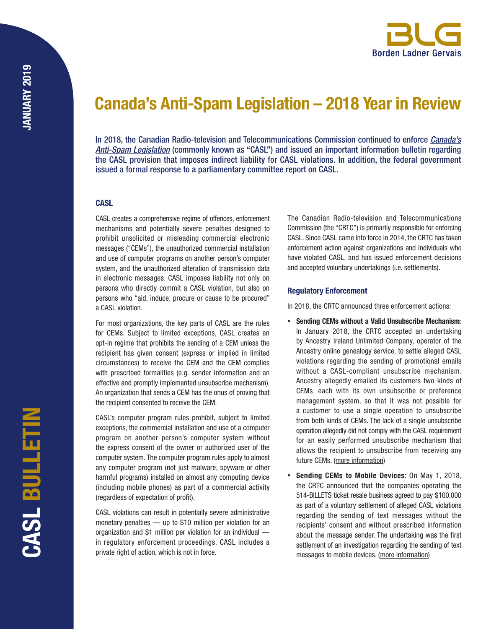# Canada's Anti-Spam Legislation – 2018 Year in Review

In 2018, the Canadian Radio-television and Telecommunications Commission continued to enforce *[Canada's](https://laws-lois.justice.gc.ca/eng/AnnualStatutes/2010_23/FullText.html) [Anti-Spam Legislation](https://laws-lois.justice.gc.ca/eng/AnnualStatutes/2010_23/FullText.html)* (commonly known as "CASL") and issued an important information bulletin regarding the CASL provision that imposes indirect liability for CASL violations. In addition, the federal government issued a formal response to a parliamentary committee report on CASL.

### **CASL**

CASL creates a comprehensive regime of offences, enforcement mechanisms and potentially severe penalties designed to prohibit unsolicited or misleading commercial electronic messages ("CEMs"), the unauthorized commercial installation and use of computer programs on another person's computer system, and the unauthorized alteration of transmission data in electronic messages. CASL imposes liability not only on persons who directly commit a CASL violation, but also on persons who "aid, induce, procure or cause to be procured" a CASL violation.

For most organizations, the key parts of CASL are the rules for CEMs. Subject to limited exceptions, CASL creates an opt-in regime that prohibits the sending of a CEM unless the recipient has given consent (express or implied in limited circumstances) to receive the CEM and the CEM complies with prescribed formalities (e.g. sender information and an effective and promptly implemented unsubscribe mechanism). An organization that sends a CEM has the onus of proving that the recipient consented to receive the CEM.

CASL's computer program rules prohibit, subject to limited exceptions, the commercial installation and use of a computer program on another person's computer system without the express consent of the owner or authorized user of the computer system. The computer program rules apply to almost any computer program (not just malware, spyware or other harmful programs) installed on almost any computing device (including mobile phones) as part of a commercial activity (regardless of expectation of profit).

CASL violations can result in potentially severe administrative monetary penalties — up to \$10 million per violation for an organization and \$1 million per violation for an individual in regulatory enforcement proceedings. CASL includes a private right of action, which is not in force.

The Canadian Radio-television and Telecommunications Commission (the "CRTC") is primarily responsible for enforcing CASL. Since CASL came into force in 2014, the CRTC has taken enforcement action against organizations and individuals who have violated CASL, and has issued enforcement decisions and accepted voluntary undertakings (i.e. settlements).

## Regulatory Enforcement

In 2018, the CRTC announced three enforcement actions:

- Sending CEMs without a Valid Unsubscribe Mechanism: In January 2018, the CRTC accepted an undertaking by Ancestry Ireland Unlimited Company, operator of the Ancestry online genealogy service, to settle alleged CASL violations regarding the sending of promotional emails without a CASL-compliant unsubscribe mechanism. Ancestry allegedly emailed its customers two kinds of CEMs, each with its own unsubscribe or preference management system, so that it was not possible for a customer to use a single operation to unsubscribe from both kinds of CEMs. The lack of a single unsubscribe operation allegedly did not comply with the CASL requirement for an easily performed unsubscribe mechanism that allows the recipient to unsubscribe from receiving any future CEMs. ([more information](http://blg.com/en/News-And-Publications/Documents/Publication_5292_1033.pdf))
- Sending CEMs to Mobile Devices: On May 1, 2018, the CRTC announced that the companies operating the 514-BILLETS ticket resale business agreed to pay \$100,000 as part of a voluntary settlement of alleged CASL violations regarding the sending of text messages without the recipients' consent and without prescribed information about the message sender. The undertaking was the first settlement of an investigation regarding the sending of text messages to mobile devices. [\(more information](http://blg.com/en/News-And-Publications/Documents/Publication_5287_1033.pdf))